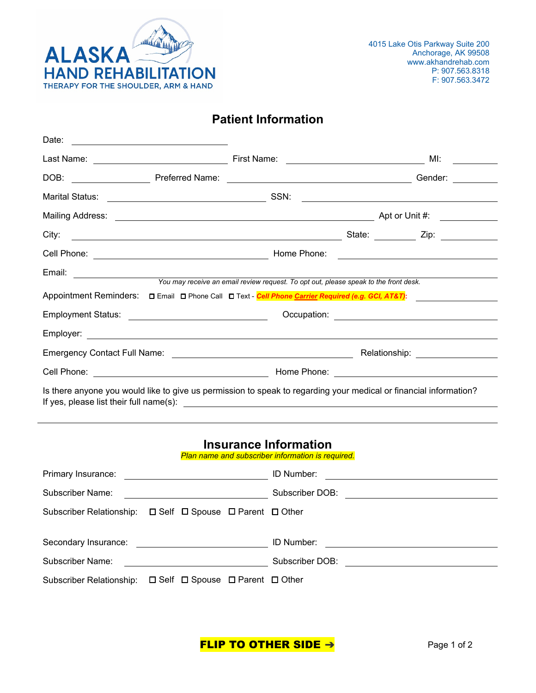

## **Patient Information**

| Date:<br><u> 1989 - Andrea Andrew Maria (h. 1989).</u>                                                                                                       |                                                                                      |  |                                                                                                                |  |  |  |  |  |
|--------------------------------------------------------------------------------------------------------------------------------------------------------------|--------------------------------------------------------------------------------------|--|----------------------------------------------------------------------------------------------------------------|--|--|--|--|--|
|                                                                                                                                                              | First Name: ________________________________                                         |  | MI:<br><u>and a strong strong part</u>                                                                         |  |  |  |  |  |
|                                                                                                                                                              |                                                                                      |  | Gender:                                                                                                        |  |  |  |  |  |
|                                                                                                                                                              |                                                                                      |  | <u> 1980 - Andrea Brand, amerikansk politik (</u>                                                              |  |  |  |  |  |
|                                                                                                                                                              |                                                                                      |  |                                                                                                                |  |  |  |  |  |
|                                                                                                                                                              |                                                                                      |  | State: <u>Contractor</u> Zip:                                                                                  |  |  |  |  |  |
|                                                                                                                                                              |                                                                                      |  | <u> 1989 - Andrea Station Barbara (h. 1989)</u>                                                                |  |  |  |  |  |
|                                                                                                                                                              | You may receive an email review request. To opt out, please speak to the front desk. |  |                                                                                                                |  |  |  |  |  |
| Appointment Reminders: □ Email □ Phone Call □ Text - Cell Phone Carrier Required (e.g. GCI, AT&T):                                                           |                                                                                      |  |                                                                                                                |  |  |  |  |  |
|                                                                                                                                                              |                                                                                      |  |                                                                                                                |  |  |  |  |  |
|                                                                                                                                                              |                                                                                      |  |                                                                                                                |  |  |  |  |  |
|                                                                                                                                                              |                                                                                      |  | Relationship: Network and Containing the Containing Section 1.1 and 2.1 and 2.1 and 2.1 and 2.1 and 2.1 and 2. |  |  |  |  |  |
|                                                                                                                                                              |                                                                                      |  |                                                                                                                |  |  |  |  |  |
| Is there anyone you would like to give us permission to speak to regarding your medical or financial information?<br>If yes, please list their full name(s): |                                                                                      |  |                                                                                                                |  |  |  |  |  |

## **Insurance Information**

*Plan name and subscriber information is required.*

| Primary Insurance:<br><u> 1999 - Johann Barbara, martxa alemani</u> ar a                                                                 | ID Number:<br><u> 1989 - Jan Samuel Alexandria, martin alemaniar a</u> |
|------------------------------------------------------------------------------------------------------------------------------------------|------------------------------------------------------------------------|
| Subscriber Name:<br><u> 1980 - Jan Samuel Barbara, politik eta politik eta politik eta politik eta politik eta politik eta politik e</u> | Subscriber DOB:<br><u> 1989 - John Stein, Amerikaansk politiker (</u>  |
| Subscriber Relationship: □ Self □ Spouse □ Parent □ Other                                                                                |                                                                        |
| Secondary Insurance: Secondary Insurance:                                                                                                | ID Number:                                                             |
| Subscriber Name:                                                                                                                         | Subscriber DOB:                                                        |
| Subscriber Relationship: □ Self □ Spouse □ Parent □ Other                                                                                |                                                                        |

FLIP TO OTHER SIDE →